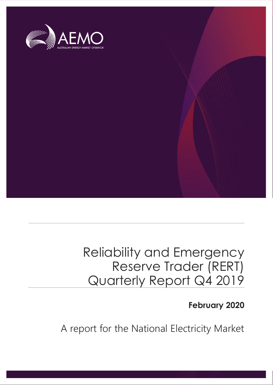

## Reliability and Emergency Reserve Trader (RERT) Quarterly Report Q4 2019

### **February 2020**

A report for the National Electricity Market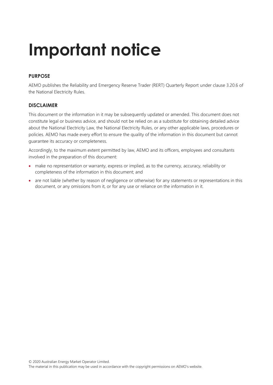# **Important notice**

#### **PURPOSE**

AEMO publishes the Reliability and Emergency Reserve Trader (RERT) Quarterly Report under clause 3.20.6 of the National Electricity Rules.

#### **DISCLAIMER**

This document or the information in it may be subsequently updated or amended. This document does not constitute legal or business advice, and should not be relied on as a substitute for obtaining detailed advice about the National Electricity Law, the National Electricity Rules, or any other applicable laws, procedures or policies. AEMO has made every effort to ensure the quality of the information in this document but cannot guarantee its accuracy or completeness.

Accordingly, to the maximum extent permitted by law, AEMO and its officers, employees and consultants involved in the preparation of this document:

- make no representation or warranty, express or implied, as to the currency, accuracy, reliability or completeness of the information in this document; and
- are not liable (whether by reason of negligence or otherwise) for any statements or representations in this document, or any omissions from it, or for any use or reliance on the information in it.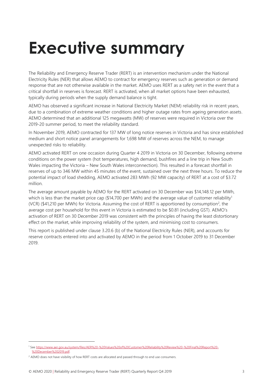# <span id="page-2-0"></span>**Executive summary**

The Reliability and Emergency Reserve Trader (RERT) is an intervention mechanism under the National Electricity Rules (NER) that allows AEMO to contract for emergency reserves such as generation or demand response that are not otherwise available in the market. AEMO uses RERT as a safety net in the event that a critical shortfall in reserves is forecast. RERT is activated, when all market options have been exhausted, typically during periods when the supply demand balance is tight.

AEMO has observed a significant increase in National Electricity Market (NEM) reliability risk in recent years, due to a combination of extreme weather conditions and higher outage rates from ageing generation assets. AEMO determined that an additional 125 megawatts (MW) of reserves were required in Victoria over the 2019-20 summer period, to meet the reliability standard.

In November 2019, AEMO contracted for 137 MW of long notice reserves in Victoria and has since established medium and short notice panel arrangements for 1,698 MW of reserves across the NEM, to manage unexpected risks to reliability.

AEMO activated RERT on one occasion during Quarter 4 2019 in Victoria on 30 December, following extreme conditions on the power system (hot temperatures, high demand, bushfires and a line trip in New South Wales impacting the Victoria – New South Wales interconnection). This resulted in a forecast shortfall in reserves of up to 346 MW within 45 minutes of the event, sustained over the next three hours. To reduce the potential impact of load shedding, AEMO activated 283 MWh (92 MW capacity) of RERT at a cost of \$3.72 million.

The average amount payable by AEMO for the RERT activated on 30 December was \$14,148.12 per MWh, which is less than the market price cap (\$14,700 per MWh) and the average value of customer reliability<sup>1</sup> (VCR) (\$41,210 per MWh) for Victoria. Assuming the cost of RERT is apportioned by consumption<sup>2</sup>, the average cost per household for this event in Victoria is estimated to be \$0.81 (including GST). AEMO's activation of RERT on 30 December 2019 was consistent with the principles of having the least distortionary effect on the market, while improving reliability of the system, and minimising cost to consumers.

This report is published under clause 3.20.6 (b) of the National Electricity Rules (NER), and accounts for reserve contracts entered into and activated by AEMO in the period from 1 October 2019 to 31 December 2019.

<sup>1</sup> Se[e https://www.aer.gov.au/system/files/AER%20-%20Values%20of%20Customer%20Reliability%20Review%20-%20Final%20Report%20-](https://www.aer.gov.au/system/files/AER%20-%20Values%20of%20Customer%20Reliability%20Review%20-%20Final%20Report%20-%20December%202019.pdf) [%20December%202019.pdf.](https://www.aer.gov.au/system/files/AER%20-%20Values%20of%20Customer%20Reliability%20Review%20-%20Final%20Report%20-%20December%202019.pdf)

<sup>&</sup>lt;sup>2</sup> AEMO does not have visibility of how RERT costs are allocated and passed through to end use consumers.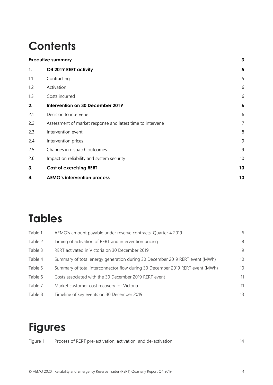## **Contents**

|     | <b>Executive summary</b>                                   | 3                |
|-----|------------------------------------------------------------|------------------|
| 1.  | Q4 2019 RERT activity                                      | 5                |
| 1.1 | Contracting                                                | 5                |
| 1.2 | Activation                                                 | 6                |
| 1.3 | Costs incurred                                             | 6                |
| 2.  | Intervention on 30 December 2019                           | $\boldsymbol{6}$ |
| 2.1 | Decision to intervene                                      | 6                |
| 2.2 | Assessment of market response and latest time to intervene | $\overline{7}$   |
| 2.3 | Intervention event                                         | 8                |
| 2.4 | Intervention prices                                        | 9                |
| 2.5 | Changes in dispatch outcomes                               | 9                |
| 2.6 | Impact on reliability and system security                  | 10               |
| 3.  | <b>Cost of exercising RERT</b>                             | 10               |
| 4.  | <b>AEMO's intervention process</b>                         | 13               |

### **Tables**

| Table 1 | AEMO's amount payable under reserve contracts, Quarter 4 2019                 | 6  |
|---------|-------------------------------------------------------------------------------|----|
| Table 2 | Timing of activation of RERT and intervention pricing                         | 8  |
| Table 3 | RERT activated in Victoria on 30 December 2019                                | 9  |
| Table 4 | Summary of total energy generation during 30 December 2019 RERT event (MWh)   | 10 |
| Table 5 | Summary of total interconnector flow during 30 December 2019 RERT event (MWh) | 10 |
| Table 6 | Costs associated with the 30 December 2019 RERT event                         | 11 |
| Table 7 | Market customer cost recovery for Victoria                                    | 11 |
| Table 8 | Timeline of key events on 30 December 2019                                    | 13 |

## **Figures**

| Figure 1 | Process of RERT pre-activation, activation, and de-activation |  |
|----------|---------------------------------------------------------------|--|
|          |                                                               |  |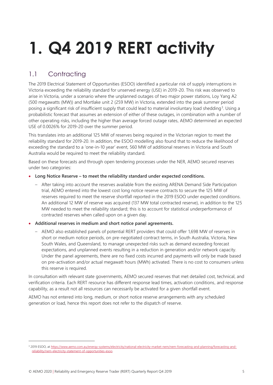# <span id="page-4-0"></span>**1. Q4 2019 RERT activity**

### <span id="page-4-1"></span>1.1 Contracting

The 2019 Electrical Statement of Opportunities (ESOO) identified a particular risk of supply interruptions in Victoria exceeding the reliability standard for unserved energy (USE) in 2019-20. This risk was observed to arise in Victoria, under a scenario where the unplanned outages of two major power stations, Loy Yang A2 (500 megawatts (MW)) and Mortlake unit 2 (259 MW) in Victoria, extended into the peak summer period posing a significant risk of insufficient supply that could lead to material involuntary load shedding<sup>3</sup>. Using a probabilistic forecast that assumes an extension of either of these outages, in combination with a number of other operating risks, including the higher than average forced outage rates, AEMO determined an expected USE of 0.0026% for 2019-20 over the summer period.

This translates into an additional 125 MW of reserves being required in the Victorian region to meet the reliability standard for 2019-20. In addition, the ESOO modelling also found that to reduce the likelihood of exceeding the standard to a 'one-in-10 year' event, 560 MW of additional reserves in Victoria and South Australia would be required to meet the reliability standard.

Based on these forecasts and through open tendering processes under the NER, AEMO secured reserves under two categories:

• **Long Notice Reserve – to meet the reliability standard under expected conditions.**

- After taking into account the reserves available from the existing ARENA Demand Side Participation trial, AEMO entered into the lowest cost long notice reserve contracts to secure the 125 MW of reserves required to meet the reserve shortfall reported in the 2019 ESOO under expected conditions. An additional 12 MW of reserve was acquired (137 MW total contracted reserve), in addition to the 125 MW needed to meet the reliability standard; this is to account for statistical underperformance of contracted reserves when called upon on a given day.
- **Additional reserves in medium and short notice panel agreements.**
	- AEMO also established panels of potential RERT providers that could offer 1,698 MW of reserves in short or medium notice periods, on pre-negotiated contract terms, in South Australia, Victoria, New South Wales, and Queensland, to manage unexpected risks such as demand exceeding forecast expectations, and unplanned events resulting in a reduction in generation and/or network capacity. Under the panel agreements, there are no fixed costs incurred and payments will only be made based on pre-activation and/or actual megawatt hours (MWh) activated. There is no cost to consumers unless this reserve is required.

In consultation with relevant state governments, AEMO secured reserves that met detailed cost, technical, and verification criteria. Each RERT resource has different response lead times, activation conditions, and response capability, as a result not all resources can necessarily be activated for a given shortfall event.

AEMO has not entered into long, medium, or short notice reserve arrangements with any scheduled generation or load, hence this report does not refer to the dispatch of reserve.

<sup>3</sup> 2019 ESOO, a[t https://www.aemo.com.au/energy-systems/electricity/national-electricity-market-nem/nem-forecasting-and-planning/forecasting-and](https://www.aemo.com.au/energy-systems/electricity/national-electricity-market-nem/nem-forecasting-and-planning/forecasting-and-reliability/nem-electricity-statement-of-opportunities-esoo)[reliability/nem-electricity-statement-of-opportunities-esoo.](https://www.aemo.com.au/energy-systems/electricity/national-electricity-market-nem/nem-forecasting-and-planning/forecasting-and-reliability/nem-electricity-statement-of-opportunities-esoo)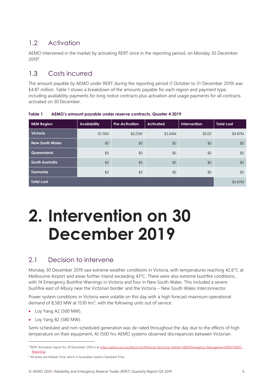### <span id="page-5-0"></span>1.2 Activation

AEMO intervened in the market by activating RERT once in the reporting period, on Monday 30 December 2019<sup>4</sup> .

### <span id="page-5-1"></span>1.3 Costs incurred

The amount payable by AEMO under RERT during the reporting period (1 October to 31 December 2019) was \$4.87 million. Table 1 shows a breakdown of the amounts payable for each region and payment type, including availability payments for long notice contracts plus activation and usage payments for all contracts activated on 30 December.

| <b>NEM Region</b>      | <b>Availability</b> | <b>Pre-Activation</b> | <b>Activated</b> | <b>Intervention</b> | Total cost |
|------------------------|---------------------|-----------------------|------------------|---------------------|------------|
| <b>Victoria</b>        | \$1.15M             | \$0.25M               | \$3.44M          | \$0.03              | \$4.87M    |
| <b>New South Wales</b> | \$0                 | \$0                   | \$0              | \$0                 | \$0        |
| Queensland             | \$0                 | \$0                   | \$0              | \$0                 | \$0        |
| <b>South Australia</b> | \$0                 | \$0                   | \$0              | \$0                 | \$0        |
| <b>Tasmania</b>        | \$0                 | \$0                   | \$0              | \$0                 | \$0        |
| <b>Total cost</b>      |                     |                       |                  |                     | \$4.87M    |

<span id="page-5-4"></span>**Table 1 AEMO's amount payable under reserve contracts, Quarter 4 2019**

# <span id="page-5-2"></span>**2. Intervention on 30 December 2019**

### <span id="page-5-3"></span>2.1 Decision to intervene

Monday 30 December 2019 saw extreme weather conditions in Victoria, with temperatures reaching 42.6°C at Melbourne Airport and areas further inland exceeding 43°C. There were also extreme bushfire conditions, with 14 Emergency Bushfire Warnings in Victoria and four in New South Wales. This included a severe bushfire east of Albury near the Victorian border and the Victoria – New South Wales Interconnector.

Power system conditions in Victoria were volatile on this day with a high forecast maximum operational demand of 8,583 MW at 1530 hrs<sup>5</sup>, with the following units out of service:

- Loy Yang A2 (500 MW).
- Loy Yang B2 (580 MW).

Semi-scheduled and non-scheduled generation was de-rated throughout the day due to the effects of high temperature on their equipment. At 1500 hrs AEMO systems observed discrepancies between Victorian

<sup>4</sup> RERT Activation report for 30 December 2019 is a[t https://aemo.com.au/Electricity/National-Electricity-Market-NEM/Emergency-Management/RERT/RERT-](https://aemo.com.au/Electricity/National-Electricity-Market-NEM/Emergency-Management/RERT/RERT-Reporting)[Reporting.](https://aemo.com.au/Electricity/National-Electricity-Market-NEM/Emergency-Management/RERT/RERT-Reporting)

<sup>&</sup>lt;sup>5</sup> All times are Market Time, which is Australian Eastern Standard Time.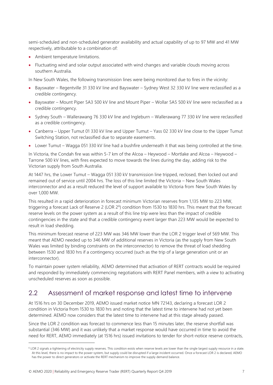semi-scheduled and non-scheduled generator availability and actual capability of up to 97 MW and 41 MW respectively, attributable to a combination of:

- Ambient temperature limitations.
- Fluctuating wind and solar output associated with wind changes and variable clouds moving across southern Australia.

In New South Wales, the following transmission lines were being monitored due to fires in the vicinity:

- Bayswater Regentville 31 330 kV line and Bayswater Sydney West 32 330 kV line were reclassified as a credible contingency.
- Bayswater Mount Piper 5A3 500 kV line and Mount Piper Wollar 5A5 500 kV line were reclassified as a credible contingency.
- Sydney South Wallerawang 76 330 kV line and Ingleburn Wallerawang 77 330 kV line were reclassified as a credible contingency.
- Canberra Upper Tumut 01 330 kV line and Upper Tumut Yass 02 330 kV line close to the Upper Tumut Switching Station, not reclassified due to separate easements.
- Lower Tumut Wagga 051 330 kV line had a bushfire underneath it that was being controlled at the time.

In Victoria, the Condah fire was within 5-7 km of the Alcoa – Heywood – Mortlake and Alcoa – Heywood – Tarrone 500 kV lines, with fires expected to move towards the lines during the day, adding risk to the Victorian supply from South Australia.

At 1447 hrs, the Lower Tumut – Wagga 051 330 kV transmission line tripped, reclosed, then locked out and remained out of service until 2004 hrs. The loss of this line limited the Victoria – New South Wales interconnector and as a result reduced the level of support available to Victoria from New South Wales by over 1,000 MW.

This resulted in a rapid deterioration in forecast minimum Victorian reserves from 1,135 MW to 223 MW, triggering a forecast Lack of Reserve 2 (LOR  $2^6$ ) condition from 1530 to 1830 hrs. This meant that the forecast reserve levels on the power system as a result of this line trip were less than the impact of credible contingencies in the state and that a credible contingency event larger than 223 MW would be expected to result in load shedding.

This minimum forecast reserve of 223 MW was 346 MW lower than the LOR 2 trigger level of 569 MW. This meant that AEMO needed up to 346 MW of additional reserves in Victoria (as the supply from New South Wales was limited by binding constraints on the interconnector) to remove the threat of load shedding between 1530 and 1830 hrs if a contingency occurred (such as the trip of a large generation unit or an interconnector).

To maintain power system reliability, AEMO determined that activation of RERT contracts would be required and responded by immediately commencing negotiations with RERT Panel members, with a view to activating unscheduled reserves as soon as possible.

#### <span id="page-6-0"></span>2.2 Assessment of market response and latest time to intervene

At 1516 hrs on 30 December 2019, AEMO issued market notice MN 72143, declaring a forecast LOR 2 condition in Victoria from 1530 to 1830 hrs and noting that the latest time to intervene had not yet been determined. AEMO now considers that the latest time to intervene had at this stage already passed.

Since the LOR 2 condition was forecast to commence less than 15 minutes later, the reserve shortfall was substantial (346 MW) and it was unlikely that a market response would have occurred in time to avoid the need for RERT, AEMO immediately (at 1516 hrs) issued invitations to tender for short-notice reserve contracts,

<sup>&</sup>lt;sup>6</sup> LOR 2 signals a tightening of electricity supply reserves. This condition exists when reserve levels are lower than the single largest supply resource in a state. At this level, there is no impact to the power system, but supply could be disrupted if a large incident occurred. Once a forecast LOR 2 is declared, AEMO has the power to direct generators or activate the RERT mechanism to improve the supply demand balance.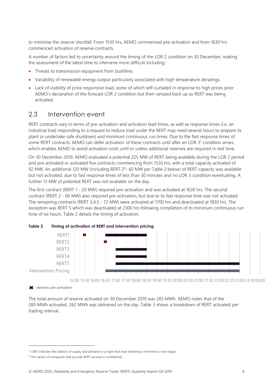to minimise the reserve shortfall. From 1530 hrs, AEMO commenced pre-activation and from 1630 hrs commenced activation of reserve contracts.

A number of factors led to uncertainty around the timing of the LOR 2 condition on 30 December, making the assessment of the latest time to intervene more difficult including:

- Threats to transmission equipment from bushfires.
- Variability of renewable energy output particularly associated with high temperature deratings.
- Lack of visibility of price responsive load, some of which self-curtailed in response to high prices prior AEMO's declaration of the forecast LOR 2 condition but then ramped back up as RERT was being activated.

#### <span id="page-7-0"></span>2.3 Intervention event

RERT contracts vary in terms of pre-activation and activation lead times, as well as response times (i.e. an industrial load responding to a request to reduce load under the RERT may need several hours to prepare its plant or undertake safe shutdown) and minimum continuous run times. Due to the fast response times of some RERT contracts, AEMO can defer activation of these contracts until after an LOR 37 condition arises, which enables AEMO to avoid activation costs until or unless additional reserves are required in real time.

On 30 December 2019, AEMO evaluated a potential 225 MW of RERT being available during the LOR 2 period and pre-activated or activated five contracts commencing from 1530 hrs, with a total capacity activated of 92 MW. An additional 120 MW (including RERT 2<sup>8</sup>- 60 MW per Table 2 below) of RERT capacity was available but not activated, due to fast response times of less than 30 minutes and no LOR 3 condition eventuating. A further 13 MW of potential RERT was not available on the day.

The first contract (RERT 1 - 20 MW) required pre-activation and was activated at 1630 hrs. The second contract (RERT 2 - 60 MW) also required pre-activation, but due to its fast response time was not activated. The remaining contracts (RERT 3,4,5 - 72 MW) were activated at 1700 hrs and deactivated at 1830 hrs. The exception was RERT 5 which was deactivated at 2300 hrs following completion of its minimum continuous run time of six hours. Table 2 details the timing of activation.



<span id="page-7-1"></span>

15:00 15:30 16:00 16:30 17:00 17:30 18:00 18:30 19:00 19:30 20:00 20:30 21:00 21:30 22:00 22:30 23:00 23:30 00:00

**\*** denotes pre-activation

The total amount of reserve activated on 30 December 2019 was 283 MWh. AEMO notes that of the 283 MWh activated, 262 MWh was delivered on the day. Table 3 shows a breakdown of RERT activated per trading interval.

<sup>&</sup>lt;sup>7</sup> LOR3 indicates the balance of supply and demand is so tight that load shedding is imminent or has begun.

<sup>8</sup> The names of companies that provide RERT services is confidential.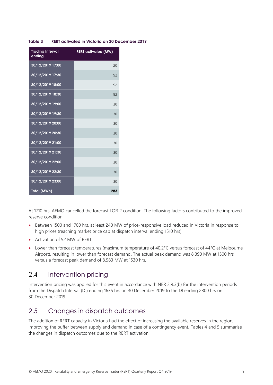| <b>Trading Interval</b><br>ending | <b>RERT</b> activated (MW) |
|-----------------------------------|----------------------------|
| 30/12/2019 17:00                  | 20                         |
| 30/12/2019 17:30                  | 92                         |
| 30/12/2019 18:00                  | 92                         |
| 30/12/2019 18:30                  | 92                         |
| 30/12/2019 19:00                  | 30                         |
| 30/12/2019 19:30                  | 30                         |
| 30/12/2019 20:00                  | 30                         |
| 30/12/2019 20:30                  | 30                         |
| 30/12/2019 21:00                  | 30                         |
| 30/12/2019 21:30                  | 30                         |
| 30/12/2019 22:00                  | 30                         |
| 30/12/2019 22:30                  | 30                         |
| 30/12/2019 23:00                  | 30                         |
| <b>Total (MWh)</b>                | 283                        |

#### <span id="page-8-2"></span>**Table 3 RERT activated in Victoria on 30 December 2019**

At 1710 hrs, AEMO cancelled the forecast LOR 2 condition. The following factors contributed to the improved reserve condition:

- Between 1500 and 1700 hrs, at least 240 MW of price-responsive load reduced in Victoria in response to high prices (reaching market price cap at dispatch interval ending 1510 hrs).
- Activation of 92 MW of RERT.
- Lower than forecast temperatures (maximum temperature of 40.2°C versus forecast of 44°C at Melbourne Airport), resulting in lower than forecast demand. The actual peak demand was 8,390 MW at 1500 hrs versus a forecast peak demand of 8,583 MW at 1530 hrs.

#### <span id="page-8-0"></span>2.4 Intervention pricing

Intervention pricing was applied for this event in accordance with NER 3.9.3(b) for the intervention periods from the Dispatch Interval (DI) ending 1635 hrs on 30 December 2019 to the DI ending 2300 hrs on 30 December 2019.

#### <span id="page-8-1"></span>2.5 Changes in dispatch outcomes

The addition of RERT capacity in Victoria had the effect of increasing the available reserves in the region, improving the buffer between supply and demand in case of a contingency event. Tables 4 and 5 summarise the changes in dispatch outcomes due to the RERT activation.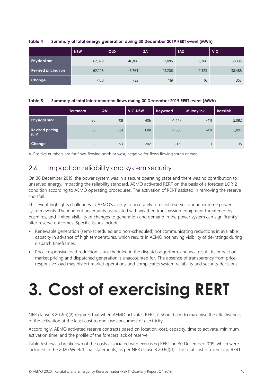<span id="page-9-2"></span>

| Table 4 | Summary of total energy generation during 30 December 2019 RERT event (MWh) |  |
|---------|-----------------------------------------------------------------------------|--|
|         |                                                                             |  |

|                            | <b>NSW</b> | QLD    | <b>SA</b> | <b>TAS</b> | <b>VIC</b> |
|----------------------------|------------|--------|-----------|------------|------------|
| <b>Physical run</b>        | 62,379     | 46,818 | 13,086    | 9,306      | 38,135     |
| <b>Revised pricing run</b> | 62,228     | 46,764 | 13,206    | 9,323      | 38,488     |
| <b>Change</b>              | $-150$     | $-55$  | 119       | 16         | 353        |

#### <span id="page-9-3"></span>**Table 5 Summary of total interconnector flows during 30 December 2019 RERT event (MWh)**

|                                            | <b>Terranora</b> | QNI | <b>VIC-NSW</b> | Heywood  | <b>Murraylink</b> | <b>Basslink</b> |
|--------------------------------------------|------------------|-----|----------------|----------|-------------------|-----------------|
| <b>Physical runA</b>                       | 30               | 708 | 406            | $-1,447$ | $-411$            | 2,082           |
| <b>Revised pricing</b><br>run <sup>A</sup> | 32               | 761 | 608            | $-1,566$ | $-411$            | 2,097           |
| Change                                     | $\mathcal{L}$    | 53  | 202            | $-119$   |                   | 15              |

<span id="page-9-0"></span>A. Positive numbers are for flows flowing north or west, negative for flows flowing south or east.

#### 2.6 Impact on reliability and system security

On 30 December 2019, the power system was in a secure operating state and there was no contribution to unserved energy, impacting the reliability standard. AEMO activated RERT on the basis of a forecast LOR 2 condition according to AEMO operating procedures. The activation of RERT assisted in removing the reserve shortfall.

This event highlights challenges to AEMO's ability to accurately forecast reserves during extreme power system events. The inherent uncertainty associated with weather, transmission equipment threatened by bushfires, and limited visibility of changes to generation and demand in the power system can significantly alter reserve outcomes. Specific issues include:

- Renewable generation (semi-scheduled and non-scheduled) not communicating reductions in available capacity in advance of high temperatures, which results in AEMO not having visibility of de-ratings during dispatch timeframes.
- <span id="page-9-1"></span>• Price-responsive load reduction is unscheduled in the dispatch algorithm, and as a result, its impact on market pricing and dispatched generation is unaccounted for. The absence of transparency from priceresponsive load may distort market operations and complicates system reliability and security decisions.

# **3. Cost of exercising RERT**

NER clause 3.20.2(b)(2) requires that when AEMO activates RERT, it should aim to maximise the effectiveness of the activation at the least cost to end-use consumers of electricity.

Accordingly, AEMO activated reserve contracts based on location, cost, capacity, time to activate, minimum activation time, and the profile of the forecast lack of reserve.

Table 6 shows a breakdown of the costs associated with exercising RERT on 30 December 2019, which were included in the 2020 Week 1 final statements, as per NER clause 3.20.6(f)(1). The total cost of exercising RERT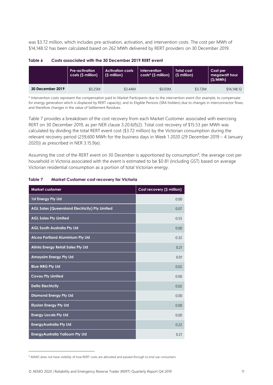was \$3.72 million, which includes pre-activation, activation, and intervention costs. The cost per MWh of \$14,148.12 has been calculated based on 262 MWh delivered by RERT providers on 30 December 2019.

|                  | <b>Pre-activation</b><br>costs (\$ million) | <b>Activation costs</b><br>(\$ million) | Intervention<br>$costs*(5 million)$ | Total cost<br>$\mid$ (\$ million) | Cost per<br>megawatt hour<br>(S/MWh) |
|------------------|---------------------------------------------|-----------------------------------------|-------------------------------------|-----------------------------------|--------------------------------------|
| 30 December 2019 | \$0.25M                                     | \$3.44M                                 | \$0.03M                             | \$3.72M                           | \$14,148,12                          |

#### <span id="page-10-0"></span>**Table 6 Costs associated with the 30 December 2019 RERT event**

\* Intervention costs represent the compensation paid to Market Participants due to the intervention event (for example, to compensate for energy generation which is displaced by RERT capacity), and to Eligible Persons (SRA holders) due to changes in interconnector flows, and therefore changes in the value of Settlement Residues.

Table 7 provides a breakdown of the cost recovery from each Market Customer associated with exercising RERT on 30 December 2019, as per NER clause 3.20.6(f)(2). Total cost recovery of \$15.53 per MWh was calculated by dividing the total RERT event cost (\$3.72 million) by the Victorian consumption during the relevant recovery period (239,600 MWh for the business days in Week 1 2020 (29 December 2019 – 4 January 2020)) as prescribed in NER 3.15.9(e).

Assuming the cost of the RERT event on 30 December is apportioned by consumption<sup>9</sup>, the average cost per household in Victoria associated with the event is estimated to be \$0.81 (including GST) based on average Victorian residential consumption as a portion of total Victorian energy.

| <b>Market customer</b>                                | Cost recovery (\$ million) |
|-------------------------------------------------------|----------------------------|
| <b>1st Energy Pty Ltd</b>                             | 0.00                       |
| <b>AGL Sales (Queensland Electricity) Pty Limited</b> | 0.07                       |
| <b>AGL Sales Pty Limited</b>                          | 0.55                       |
| <b>AGL South Australia Pty Ltd</b>                    | 0.00                       |
| Alcoa Portland Aluminium Pty Ltd                      | 0.32                       |
| <b>Alinta Energy Retail Sales Pty Ltd</b>             | 0.21                       |
| <b>Amaysim Energy Pty Ltd</b>                         | 0.01                       |
| <b>Blue NRG Pty Ltd</b>                               | 0.02                       |
| <b>Covau Pty Limited</b>                              | 0.00                       |
| <b>Delta Electricity</b>                              | 0.02                       |
| <b>Diamond Energy Pty Ltd</b>                         | 0.00                       |
| <b>Elysian Energy Pty Ltd</b>                         | 0.00                       |
| <b>Energy Locals Pty Ltd</b>                          | 0.00                       |
| <b>EnergyAustralia Pty Ltd</b>                        | 0.22                       |
| <b>EnergyAustralia Yallourn Pty Ltd</b>               | 0.21                       |

#### <span id="page-10-1"></span>**Table 7 Market Customer cost recovery for Victoria**

<sup>&</sup>lt;sup>9</sup> AEMO does not have visibility of how RERT costs are allocated and passed through to end use consumers.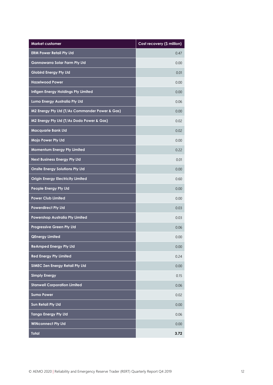| <b>Market customer</b>                         | Cost recovery (\$ million) |
|------------------------------------------------|----------------------------|
| <b>ERM Power Retail Pty Ltd</b>                | 0.47                       |
| <b>Gannawarra Solar Farm Pty Ltd</b>           | 0.00                       |
| <b>Globird Energy Pty Ltd</b>                  | 0.01                       |
| <b>Hazelwood Power</b>                         | 0.00                       |
| Infigen Energy Holdings Pty Limited            | 0.00                       |
| Lumo Energy Australia Pty Ltd                  | 0.06                       |
| M2 Energy Pty Ltd (T/As Commander Power & Gas) | 0.00                       |
| M2 Energy Pty Ltd (T/As Dodo Power & Gas)      | 0.02                       |
| <b>Macquarie Bank Ltd</b>                      | 0.02                       |
| Mojo Power Pty Ltd                             | 0.00                       |
| <b>Momentum Energy Pty Limited</b>             | 0.22                       |
| <b>Next Business Energy Pty Ltd</b>            | 0.01                       |
| <b>Onsite Energy Solutions Pty Ltd</b>         | 0.00                       |
| <b>Origin Energy Electricity Limited</b>       | 0.60                       |
| <b>People Energy Pty Ltd</b>                   | 0.00                       |
| <b>Power Club Limited</b>                      | 0.00                       |
| <b>Powerdirect Pty Ltd</b>                     | 0.03                       |
| Powershop Australia Pty Limited                | 0.03                       |
| <b>Progressive Green Pty Ltd</b>               | 0.06                       |
| <b>QEnergy Limited</b>                         | 0.00                       |
| <b>ReAmped Energy Pty Ltd</b>                  | 0.00                       |
| <b>Red Energy Pty Limited</b>                  | 0.24                       |
| <b>SIMEC Zen Energy Retail Pty Ltd</b>         | 0.00                       |
| <b>Simply Energy</b>                           | 0.15                       |
| <b>Stanwell Corporation Limited</b>            | 0.06                       |
| <b>Sumo Power</b>                              | 0.02                       |
| <b>Sun Retail Pty Ltd</b>                      | 0.00                       |
| <b>Tango Energy Pty Ltd</b>                    | 0.06                       |
| <b>WINconnect Pty Ltd</b>                      | 0.00                       |
| <b>Total</b>                                   | 3.72                       |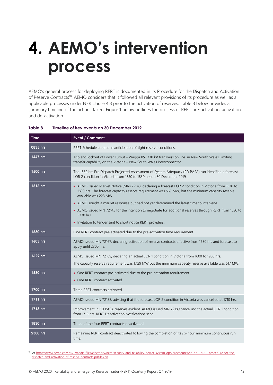# <span id="page-12-0"></span>**4. AEMO's intervention process**

AEMO's general process for deploying RERT is documented in its Procedure for the Dispatch and Activation of Reserve Contracts<sup>10</sup>. AEMO considers that it followed all relevant provisions of its procedure as well as all applicable processes under NER clause 4.8 prior to the activation of reserves. Table 8 below provides a summary timeline of the actions taken. Figure 1 below outlines the process of RERT pre-activation, activation, and de-activation.

<span id="page-12-1"></span>

| Table 8 | Timeline of key events on 30 December 2019 |  |  |
|---------|--------------------------------------------|--|--|
|         |                                            |  |  |

| <b>Time</b> | Event / Comment                                                                                                                                                                                                                                                                                                                                                                                                                                                                                                       |
|-------------|-----------------------------------------------------------------------------------------------------------------------------------------------------------------------------------------------------------------------------------------------------------------------------------------------------------------------------------------------------------------------------------------------------------------------------------------------------------------------------------------------------------------------|
| 0835 hrs    | RERT Schedule created in anticipation of tight reserve conditions.                                                                                                                                                                                                                                                                                                                                                                                                                                                    |
| 1447 hrs    | Trip and lockout of Lower Tumut - Wagga 051 330 kV transmission line in New South Wales, limiting<br>transfer capability on the Victoria - New South Wales interconnector.                                                                                                                                                                                                                                                                                                                                            |
| 1500 hrs    | The 1530 hrs Pre Dispatch Projected Assessment of System Adequacy (PD PASA) run identified a forecast<br>LOR 2 condition in Victoria from 1530 to 1830 hrs on 30 December 2019.                                                                                                                                                                                                                                                                                                                                       |
| 1516 hrs    | • AEMO issued Market Notice (MN) 72143, declaring a forecast LOR 2 condition in Victoria from 1530 to<br>1830 hrs. The forecast capacity reserve requirement was 569 MW, but the minimum capacity reserve<br>available was 223 MW.<br>• AEMO sought a market response but had not yet determined the latest time to intervene.<br>• AEMO issued MN 72145 for the intention to negotiate for additional reserves through RERT from 1530 to<br>2330 hrs.<br>• Invitation to tender sent to short notice RERT providers. |
| 1530 hrs    | One RERT contract pre-activated due to the pre-activation time requirement                                                                                                                                                                                                                                                                                                                                                                                                                                            |
| 1603 hrs    | AEMO issued MN 72167, declaring activation of reserve contracts effective from 1630 hrs and forecast to<br>apply until 2300 hrs.                                                                                                                                                                                                                                                                                                                                                                                      |
| 1629 hrs    | AEMO issued MN 72169, declaring an actual LOR 1 condition in Victoria from 1600 to 1900 hrs.<br>The capacity reserve requirement was 1,129 MW but the minimum capacity reserve available was 617 MW.                                                                                                                                                                                                                                                                                                                  |
| 1630 hrs    | • One RERT contract pre-activated due to the pre-activation requirement.<br>• One RERT contract activated.                                                                                                                                                                                                                                                                                                                                                                                                            |
| 1700 hrs    | Three RERT contracts activated.                                                                                                                                                                                                                                                                                                                                                                                                                                                                                       |
| 1711 hrs    | AEMO issued MN 72188, advising that the forecast LOR 2 condition in Victoria was cancelled at 1710 hrs.                                                                                                                                                                                                                                                                                                                                                                                                               |
| 1713 hrs    | Improvement in PD PASA reserves evident. AEMO issued MN 72189 cancelling the actual LOR 1 condition<br>from 1715 hrs. RERT Deactivation Notifications sent.                                                                                                                                                                                                                                                                                                                                                           |
| 1830 hrs    | Three of the four RERT contracts deactivated.                                                                                                                                                                                                                                                                                                                                                                                                                                                                         |
| 2300 hrs    | Remaining RERT contract deactivated following the completion of its six-hour minimum continuous run<br>time.                                                                                                                                                                                                                                                                                                                                                                                                          |

<sup>10</sup> At [https://www.aemo.com.au/-/media/files/electricity/nem/security\\_and\\_reliability/power\\_system\\_ops/procedures/so\\_op\\_3717---procedure-for-the](https://www.aemo.com.au/-/media/files/electricity/nem/security_and_reliability/power_system_ops/procedures/so_op_3717---procedure-for-the-dispatch-and-activation-of-reserve-contracts.pdf?la=en)[dispatch-and-activation-of-reserve-contracts.pdf?la=en.](https://www.aemo.com.au/-/media/files/electricity/nem/security_and_reliability/power_system_ops/procedures/so_op_3717---procedure-for-the-dispatch-and-activation-of-reserve-contracts.pdf?la=en)